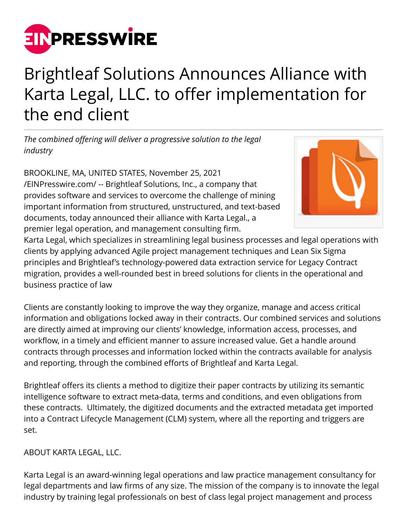

## Brightleaf Solutions Announces Alliance with Karta Legal, LLC. to offer implementation for the end client

*The combined offering will deliver a progressive solution to the legal industry*

BROOKLINE, MA, UNITED STATES, November 25, 2021 [/EINPresswire.com/](http://www.einpresswire.com) -- Brightleaf Solutions, Inc., a company that provides software and services to overcome the challenge of mining important information from structured, unstructured, and text-based documents, today announced their alliance with Karta Legal., a premier legal operation, and management consulting firm.



Karta Legal, which specializes in streamlining legal business processes and legal operations with clients by applying advanced Agile project management techniques and Lean Six Sigma principles and Brightleaf's technology-powered data extraction service for Legacy Contract migration, provides a well-rounded best in breed solutions for clients in the operational and business practice of law

Clients are constantly looking to improve the way they organize, manage and access critical information and obligations locked away in their contracts. Our combined services and solutions are directly aimed at improving our clients' knowledge, information access, processes, and workflow, in a timely and efficient manner to assure increased value. Get a handle around contracts through processes and information locked within the contracts available for analysis and reporting, through the combined efforts of Brightleaf and Karta Legal.

Brightleaf offers its clients a method to digitize their paper contracts by utilizing its semantic intelligence software to extract meta-data, terms and conditions, and even obligations from these contracts. Ultimately, the digitized documents and the extracted metadata get imported into a Contract Lifecycle Management (CLM) system, where all the reporting and triggers are set.

## ABOUT KARTA LEGAL, LLC.

Karta Legal is an award-winning legal operations and law practice management consultancy for legal departments and law firms of any size. The mission of the company is to innovate the legal industry by training legal professionals on best of class legal project management and process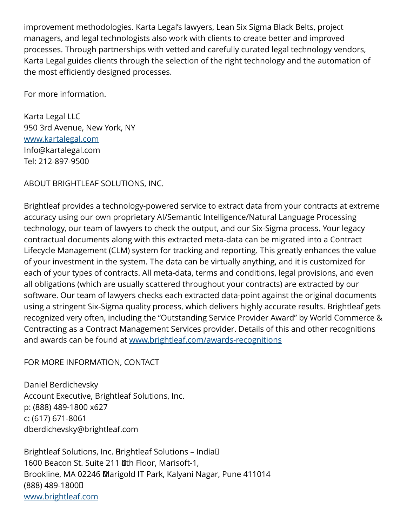improvement methodologies. Karta Legal's lawyers, Lean Six Sigma Black Belts, project managers, and legal technologists also work with clients to create better and improved processes. Through partnerships with vetted and carefully curated legal technology vendors, Karta Legal guides clients through the selection of the right technology and the automation of the most efficiently designed processes.

For more information.

Karta Legal LLC 950 3rd Avenue, New York, NY [www.kartalegal.com](http://www.kartalegal.com) Info@kartalegal.com Tel: 212-897-9500

ABOUT BRIGHTLEAF SOLUTIONS, INC.

Brightleaf provides a technology-powered service to extract data from your contracts at extreme accuracy using our own proprietary AI/Semantic Intelligence/Natural Language Processing technology, our team of lawyers to check the output, and our Six-Sigma process. Your legacy contractual documents along with this extracted meta-data can be migrated into a Contract Lifecycle Management (CLM) system for tracking and reporting. This greatly enhances the value of your investment in the system. The data can be virtually anything, and it is customized for each of your types of contracts. All meta-data, terms and conditions, legal provisions, and even all obligations (which are usually scattered throughout your contracts) are extracted by our software. Our team of lawyers checks each extracted data-point against the original documents using a stringent Six-Sigma quality process, which delivers highly accurate results. Brightleaf gets recognized very often, including the "Outstanding Service Provider Award" by World Commerce & Contracting as a Contract Management Services provider. Details of this and other recognitions and awards can be found at [www.brightleaf.com/awards-recognitions](http://www.brightleaf.com/awards-recognitions)

FOR MORE INFORMATION, CONTACT

Daniel Berdichevsky Account Executive, Brightleaf Solutions, Inc. p: (888) 489-1800 x627 c: (617) 671-8061 dberdichevsky@brightleaf.com

Brightleaf Solutions, Inc. Brightleaf Solutions - India<sup>[]</sup> 1600 Beacon St. Suite 211 **4th Floor, Marisoft-1,** Brookline, MA 02246 Marigold IT Park, Kalyani Nagar, Pune 411014 (888) 489-1800 [www.brightleaf.com](http://www.brightleaf.com)